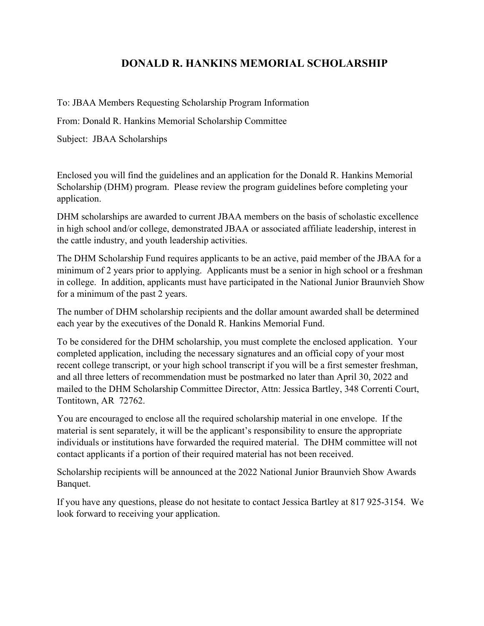## **DONALD R. HANKINS MEMORIAL SCHOLARSHIP**

To: JBAA Members Requesting Scholarship Program Information

From: Donald R. Hankins Memorial Scholarship Committee

Subject: JBAA Scholarships

Enclosed you will find the guidelines and an application for the Donald R. Hankins Memorial Scholarship (DHM) program. Please review the program guidelines before completing your application.

DHM scholarships are awarded to current JBAA members on the basis of scholastic excellence in high school and/or college, demonstrated JBAA or associated affiliate leadership, interest in the cattle industry, and youth leadership activities.

The DHM Scholarship Fund requires applicants to be an active, paid member of the JBAA for a minimum of 2 years prior to applying. Applicants must be a senior in high school or a freshman in college. In addition, applicants must have participated in the National Junior Braunvieh Show for a minimum of the past 2 years.

The number of DHM scholarship recipients and the dollar amount awarded shall be determined each year by the executives of the Donald R. Hankins Memorial Fund.

To be considered for the DHM scholarship, you must complete the enclosed application. Your completed application, including the necessary signatures and an official copy of your most recent college transcript, or your high school transcript if you will be a first semester freshman, and all three letters of recommendation must be postmarked no later than April 30, 2022 and mailed to the DHM Scholarship Committee Director, Attn: Jessica Bartley, 348 Correnti Court, Tontitown, AR 72762.

You are encouraged to enclose all the required scholarship material in one envelope. If the material is sent separately, it will be the applicant's responsibility to ensure the appropriate individuals or institutions have forwarded the required material. The DHM committee will not contact applicants if a portion of their required material has not been received.

Scholarship recipients will be announced at the 2022 National Junior Braunvieh Show Awards Banquet.

If you have any questions, please do not hesitate to contact Jessica Bartley at 817 925-3154. We look forward to receiving your application.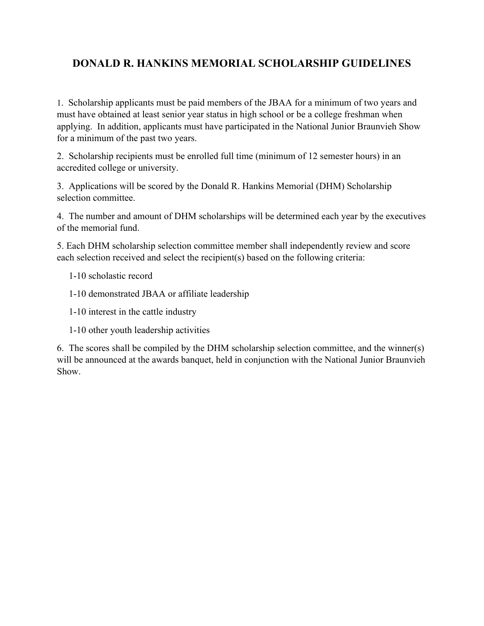## **DONALD R. HANKINS MEMORIAL SCHOLARSHIP GUIDELINES**

1. Scholarship applicants must be paid members of the JBAA for a minimum of two years and must have obtained at least senior year status in high school or be a college freshman when applying. In addition, applicants must have participated in the National Junior Braunvieh Show for a minimum of the past two years.

2. Scholarship recipients must be enrolled full time (minimum of 12 semester hours) in an accredited college or university.

3. Applications will be scored by the Donald R. Hankins Memorial (DHM) Scholarship selection committee.

4. The number and amount of DHM scholarships will be determined each year by the executives of the memorial fund.

5. Each DHM scholarship selection committee member shall independently review and score each selection received and select the recipient(s) based on the following criteria:

- 1-10 scholastic record
- 1-10 demonstrated JBAA or affiliate leadership
- 1-10 interest in the cattle industry
- 1-10 other youth leadership activities

6. The scores shall be compiled by the DHM scholarship selection committee, and the winner(s) will be announced at the awards banquet, held in conjunction with the National Junior Braunvieh Show.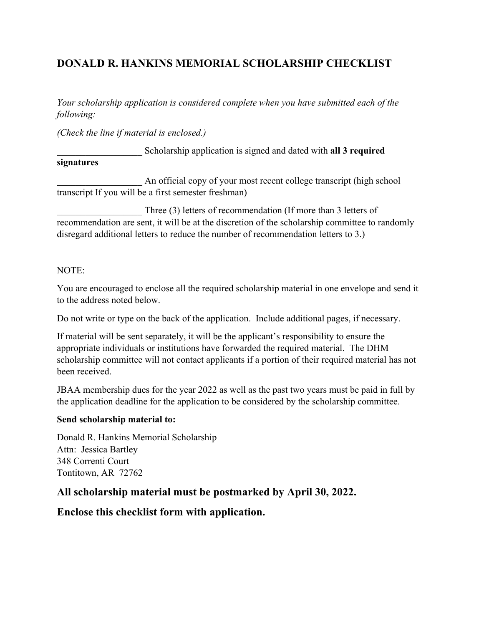## **DONALD R. HANKINS MEMORIAL SCHOLARSHIP CHECKLIST**

*Your scholarship application is considered complete when you have submitted each of the following:* 

*(Check the line if material is enclosed.)*

### \_\_\_\_\_\_\_\_\_\_\_\_\_\_\_\_\_\_ Scholarship application is signed and dated with **all 3 required**

#### **signatures**

An official copy of your most recent college transcript (high school transcript If you will be a first semester freshman)

Three (3) letters of recommendation (If more than 3 letters of recommendation are sent, it will be at the discretion of the scholarship committee to randomly disregard additional letters to reduce the number of recommendation letters to 3.)

#### NOTE:

You are encouraged to enclose all the required scholarship material in one envelope and send it to the address noted below.

Do not write or type on the back of the application. Include additional pages, if necessary.

If material will be sent separately, it will be the applicant's responsibility to ensure the appropriate individuals or institutions have forwarded the required material. The DHM scholarship committee will not contact applicants if a portion of their required material has not been received.

JBAA membership dues for the year 2022 as well as the past two years must be paid in full by the application deadline for the application to be considered by the scholarship committee.

### **Send scholarship material to:**

Donald R. Hankins Memorial Scholarship Attn: Jessica Bartley 348 Correnti Court Tontitown, AR 72762

### **All scholarship material must be postmarked by April 30, 2022.**

### **Enclose this checklist form with application.**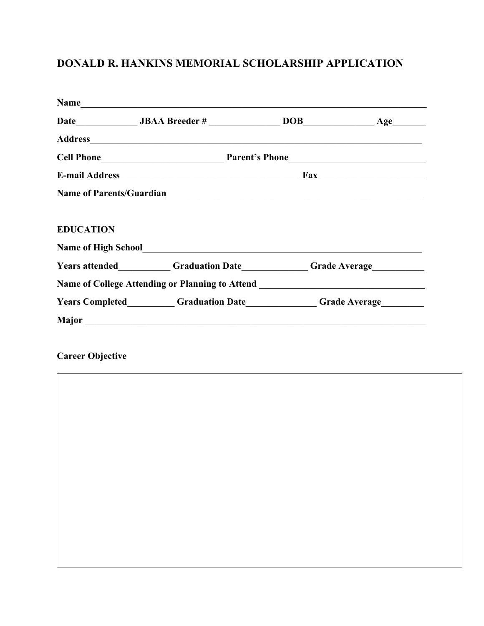# **DONALD R. HANKINS MEMORIAL SCHOLARSHIP APPLICATION**

| Name                                                                                                                                                                                                                                   |  |
|----------------------------------------------------------------------------------------------------------------------------------------------------------------------------------------------------------------------------------------|--|
|                                                                                                                                                                                                                                        |  |
|                                                                                                                                                                                                                                        |  |
|                                                                                                                                                                                                                                        |  |
|                                                                                                                                                                                                                                        |  |
| Name of Parents/Guardian<br><u> and the contract of the contract of the contract of the contract of the contract of the contract of the contract of the contract of the contract of the contract of the contract of the contract o</u> |  |
|                                                                                                                                                                                                                                        |  |
|                                                                                                                                                                                                                                        |  |
| Name of High School<br><u>Letter and the set of High School</u>                                                                                                                                                                        |  |
| Years attended___________Graduation Date___________Grade Average________________                                                                                                                                                       |  |
| Name of College Attending or Planning to Attend ________________________________                                                                                                                                                       |  |
| <b>The Years Completed Canadian Conduction Date</b> Canadian Canadian Canadian Canadian Canadian Canadian Canadian Canadian Canadian Canadian Canadian Canadian Canadian Canadian Canadian Canadian Canadian Canadian Canadian Cana    |  |
|                                                                                                                                                                                                                                        |  |
|                                                                                                                                                                                                                                        |  |

**Career Objective**

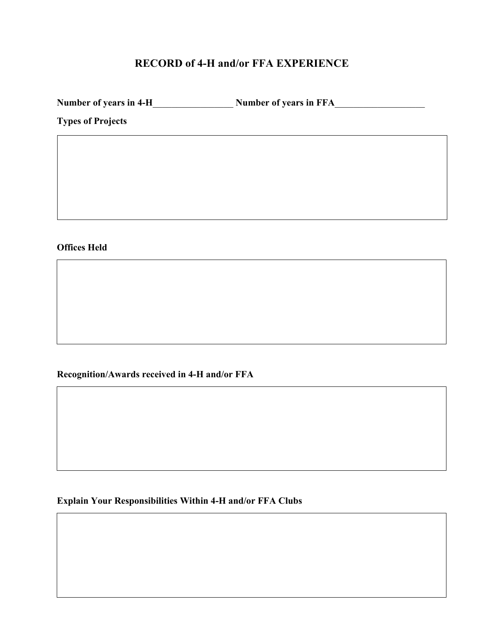## **RECORD of 4-H and/or FFA EXPERIENCE**

**Number of years in 4-H**\_\_\_\_\_\_\_\_\_\_\_\_\_\_\_\_\_ **Number of years in FFA**\_\_\_\_\_\_\_\_\_\_\_\_\_\_\_\_\_\_\_

**Types of Projects**

**Offices Held** 

**Recognition/Awards received in 4-H and/or FFA** 

**Explain Your Responsibilities Within 4-H and/or FFA Clubs**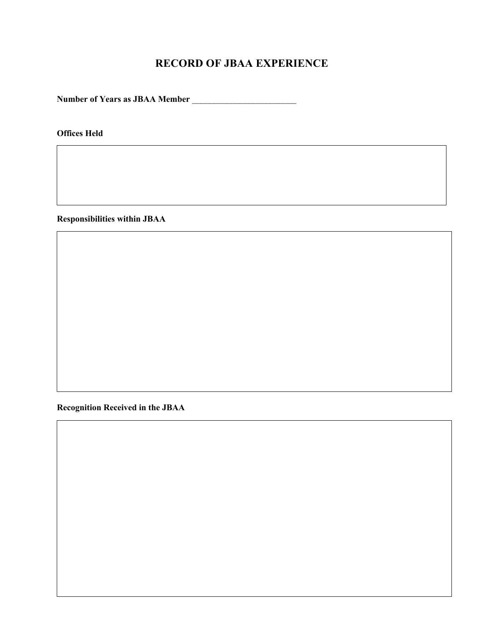## **RECORD OF JBAA EXPERIENCE**

**Number of Years as JBAA Member** \_\_\_\_\_\_\_\_\_\_\_\_\_\_\_\_\_\_\_\_\_\_\_\_

**Offices Held** 

**Responsibilities within JBAA** 

**Recognition Received in the JBAA**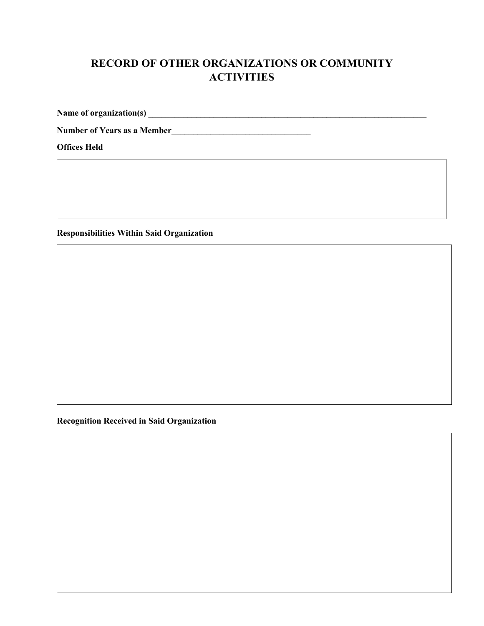# **RECORD OF OTHER ORGANIZATIONS OR COMMUNITY ACTIVITIES**

**Name of organization(s)** \_\_\_\_\_\_\_\_\_\_\_\_\_\_\_\_\_\_\_\_\_\_\_\_\_\_\_\_\_\_\_\_\_\_\_\_\_\_\_\_\_\_\_\_\_\_\_\_\_\_\_\_\_\_\_\_\_\_\_\_\_\_\_\_

**Number of Years as a Member**\_\_\_\_\_\_\_\_\_\_\_\_\_\_\_\_\_\_\_\_\_\_\_\_\_\_\_\_\_\_\_\_

**Offices Held** 

**Responsibilities Within Said Organization**

**Recognition Received in Said Organization**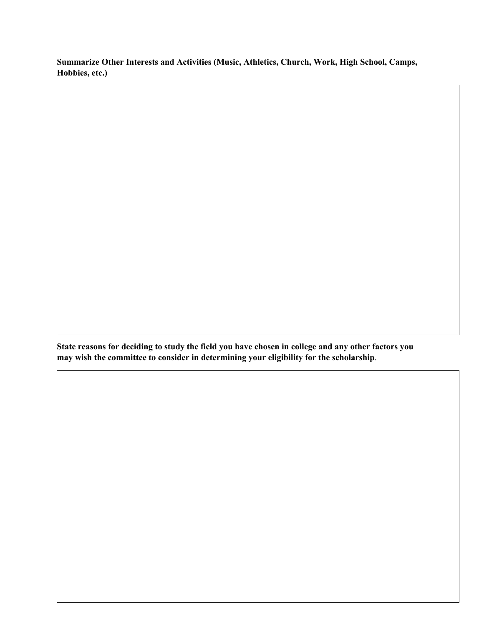**Summarize Other Interests and Activities (Music, Athletics, Church, Work, High School, Camps, Hobbies, etc.)**

**State reasons for deciding to study the field you have chosen in college and any other factors you may wish the committee to consider in determining your eligibility for the scholarship**.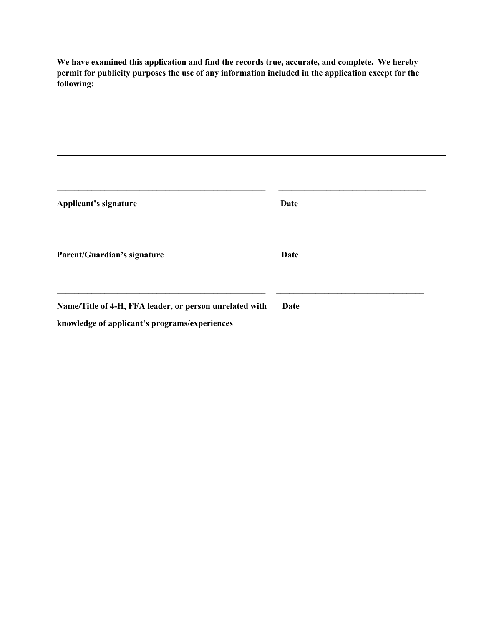**We have examined this application and find the records true, accurate, and complete. We hereby permit for publicity purposes the use of any information included in the application except for the following:** 

| Applicant's signature                                                                                    | <b>Date</b> |
|----------------------------------------------------------------------------------------------------------|-------------|
| Parent/Guardian's signature                                                                              | <b>Date</b> |
| Name/Title of 4-H, FFA leader, or person unrelated with<br>knowledge of applicant's programs/experiences | Date        |